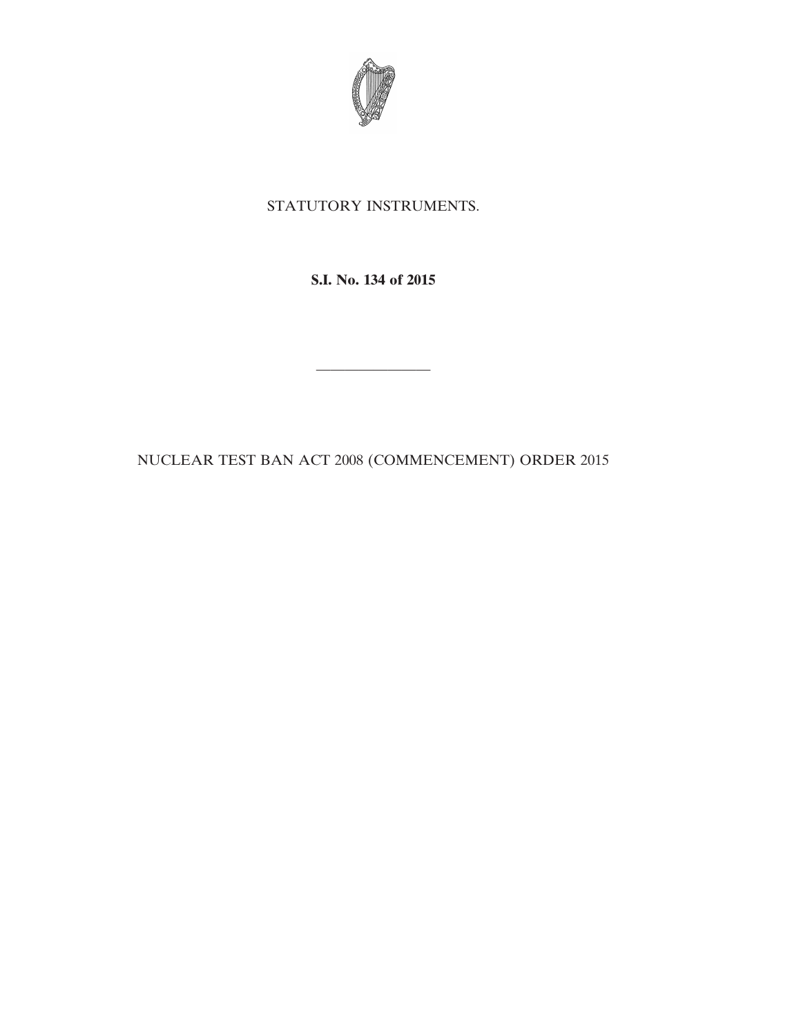

## STATUTORY INSTRUMENTS.

**S.I. No. 134 of 2015**

————————

NUCLEAR TEST BAN ACT 2008 (COMMENCEMENT) ORDER 2015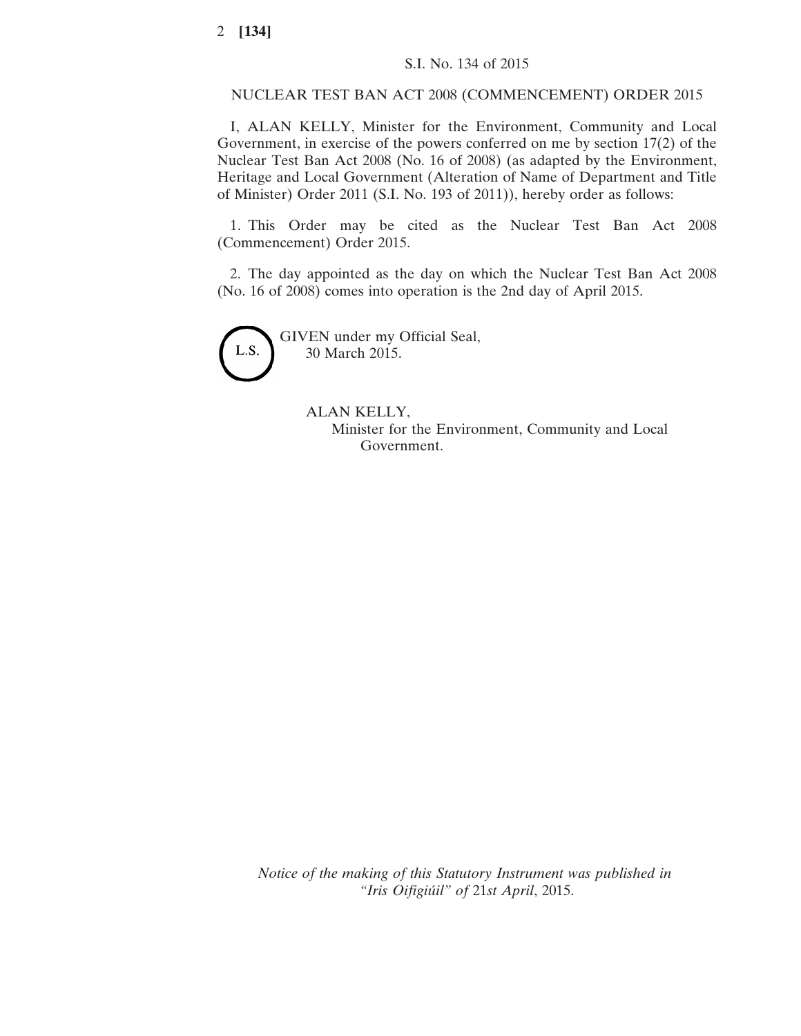## NUCLEAR TEST BAN ACT 2008 (COMMENCEMENT) ORDER 2015

I, ALAN KELLY, Minister for the Environment, Community and Local Government, in exercise of the powers conferred on me by section 17(2) of the Nuclear Test Ban Act 2008 (No. 16 of 2008) (as adapted by the Environment, Heritage and Local Government (Alteration of Name of Department and Title of Minister) Order 2011 (S.I. No. 193 of 2011)), hereby order as follows:

1. This Order may be cited as the Nuclear Test Ban Act 2008 (Commencement) Order 2015.

2. The day appointed as the day on which the Nuclear Test Ban Act 2008 (No. 16 of 2008) comes into operation is the 2nd day of April 2015.



GIVEN under my Official Seal, 30 March 2015.

## ALAN KELLY,

Minister for the Environment, Community and Local Government.

*Notice of the making of this Statutory Instrument was published in "Iris Oifigiúil" of* 21*st April*, 2015.